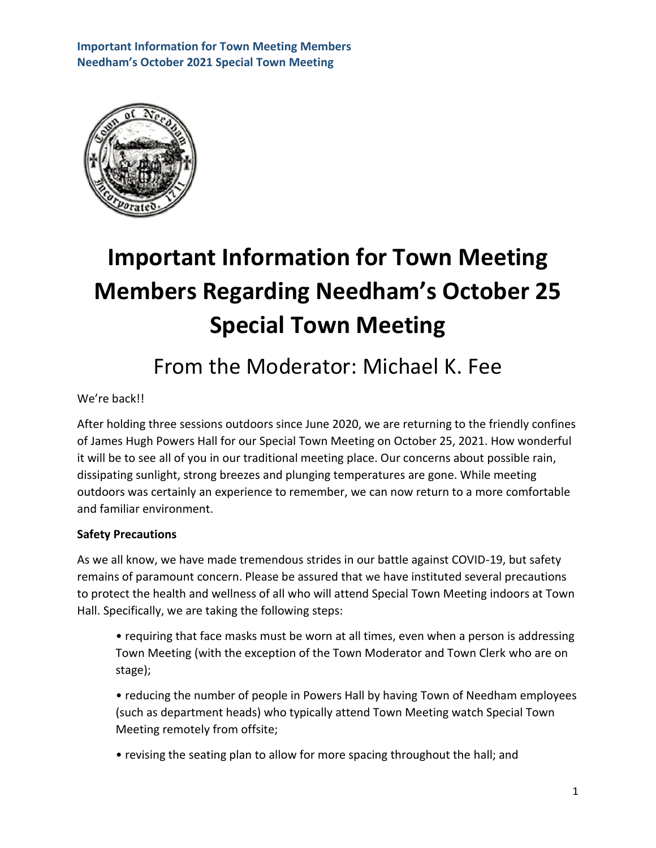

# **Important Information for Town Meeting Members Regarding Needham's October 25 Special Town Meeting**

## From the Moderator: Michael K. Fee

#### We're back!!

After holding three sessions outdoors since June 2020, we are returning to the friendly confines of James Hugh Powers Hall for our Special Town Meeting on October 25, 2021. How wonderful it will be to see all of you in our traditional meeting place. Our concerns about possible rain, dissipating sunlight, strong breezes and plunging temperatures are gone. While meeting outdoors was certainly an experience to remember, we can now return to a more comfortable and familiar environment.

#### **Safety Precautions**

As we all know, we have made tremendous strides in our battle against COVID-19, but safety remains of paramount concern. Please be assured that we have instituted several precautions to protect the health and wellness of all who will attend Special Town Meeting indoors at Town Hall. Specifically, we are taking the following steps:

• requiring that face masks must be worn at all times, even when a person is addressing Town Meeting (with the exception of the Town Moderator and Town Clerk who are on stage);

• reducing the number of people in Powers Hall by having Town of Needham employees (such as department heads) who typically attend Town Meeting watch Special Town Meeting remotely from offsite;

• revising the seating plan to allow for more spacing throughout the hall; and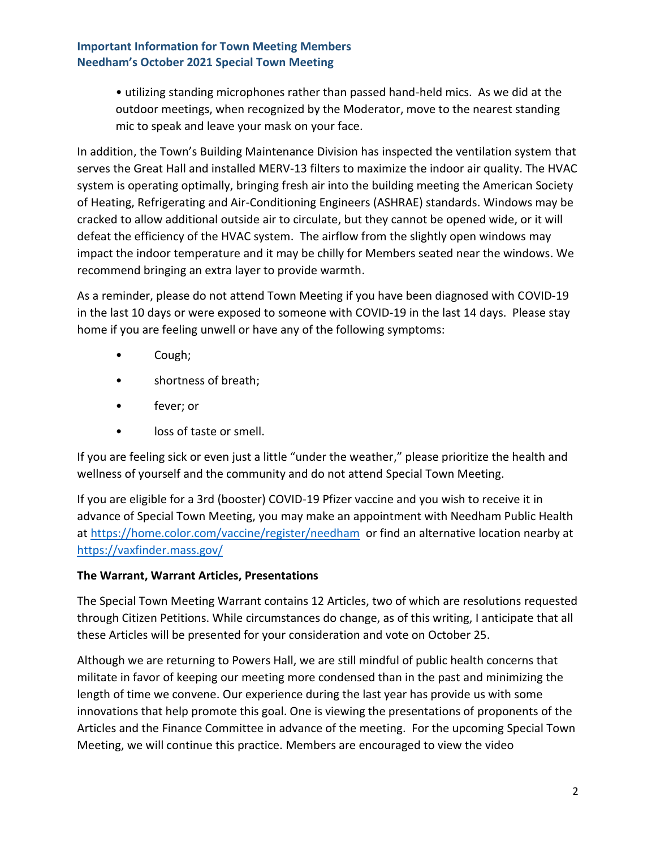• utilizing standing microphones rather than passed hand-held mics. As we did at the outdoor meetings, when recognized by the Moderator, move to the nearest standing mic to speak and leave your mask on your face.

In addition, the Town's Building Maintenance Division has inspected the ventilation system that serves the Great Hall and installed MERV-13 filters to maximize the indoor air quality. The HVAC system is operating optimally, bringing fresh air into the building meeting the American Society of Heating, Refrigerating and Air-Conditioning Engineers (ASHRAE) standards. Windows may be cracked to allow additional outside air to circulate, but they cannot be opened wide, or it will defeat the efficiency of the HVAC system. The airflow from the slightly open windows may impact the indoor temperature and it may be chilly for Members seated near the windows. We recommend bringing an extra layer to provide warmth.

As a reminder, please do not attend Town Meeting if you have been diagnosed with COVID-19 in the last 10 days or were exposed to someone with COVID-19 in the last 14 days. Please stay home if you are feeling unwell or have any of the following symptoms:

- Cough;
- shortness of breath;
- fever; or
- loss of taste or smell.

If you are feeling sick or even just a little "under the weather," please prioritize the health and wellness of yourself and the community and do not attend Special Town Meeting.

If you are eligible for a 3rd (booster) COVID-19 Pfizer vaccine and you wish to receive it in advance of Special Town Meeting, you may make an appointment with Needham Public Health at<https://home.color.com/vaccine/register/needham> or find an alternative location nearby at <https://vaxfinder.mass.gov/>

### **The Warrant, Warrant Articles, Presentations**

The Special Town Meeting Warrant contains 12 Articles, two of which are resolutions requested through Citizen Petitions. While circumstances do change, as of this writing, I anticipate that all these Articles will be presented for your consideration and vote on October 25.

Although we are returning to Powers Hall, we are still mindful of public health concerns that militate in favor of keeping our meeting more condensed than in the past and minimizing the length of time we convene. Our experience during the last year has provide us with some innovations that help promote this goal. One is viewing the presentations of proponents of the Articles and the Finance Committee in advance of the meeting. For the upcoming Special Town Meeting, we will continue this practice. Members are encouraged to view the video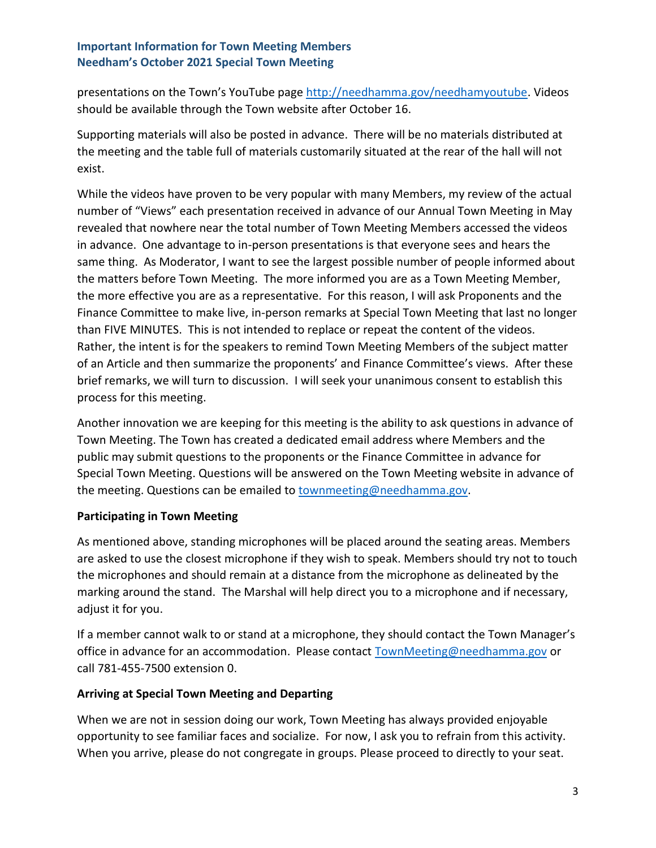presentations on the Town's YouTube page [http://needhamma.gov/needhamyoutube.](http://needhamma.gov/needhamyoutube) Videos should be available through the Town website after October 16.

Supporting materials will also be posted in advance. There will be no materials distributed at the meeting and the table full of materials customarily situated at the rear of the hall will not exist.

While the videos have proven to be very popular with many Members, my review of the actual number of "Views" each presentation received in advance of our Annual Town Meeting in May revealed that nowhere near the total number of Town Meeting Members accessed the videos in advance. One advantage to in-person presentations is that everyone sees and hears the same thing. As Moderator, I want to see the largest possible number of people informed about the matters before Town Meeting. The more informed you are as a Town Meeting Member, the more effective you are as a representative. For this reason, I will ask Proponents and the Finance Committee to make live, in-person remarks at Special Town Meeting that last no longer than FIVE MINUTES. This is not intended to replace or repeat the content of the videos. Rather, the intent is for the speakers to remind Town Meeting Members of the subject matter of an Article and then summarize the proponents' and Finance Committee's views. After these brief remarks, we will turn to discussion. I will seek your unanimous consent to establish this process for this meeting.

Another innovation we are keeping for this meeting is the ability to ask questions in advance of Town Meeting. The Town has created a dedicated email address where Members and the public may submit questions to the proponents or the Finance Committee in advance for Special Town Meeting. Questions will be answered on the Town Meeting website in advance of the meeting. Questions can be emailed to [townmeeting@needhamma.gov.](mailto:townmeeting@needhamma.gov)

#### **Participating in Town Meeting**

As mentioned above, standing microphones will be placed around the seating areas. Members are asked to use the closest microphone if they wish to speak. Members should try not to touch the microphones and should remain at a distance from the microphone as delineated by the marking around the stand. The Marshal will help direct you to a microphone and if necessary, adjust it for you.

If a member cannot walk to or stand at a microphone, they should contact the Town Manager's office in advance for an accommodation. Please contact **TownMeeting@needhamma.gov** or call 781-455-7500 extension 0.

#### **Arriving at Special Town Meeting and Departing**

When we are not in session doing our work, Town Meeting has always provided enjoyable opportunity to see familiar faces and socialize. For now, I ask you to refrain from this activity. When you arrive, please do not congregate in groups. Please proceed to directly to your seat.